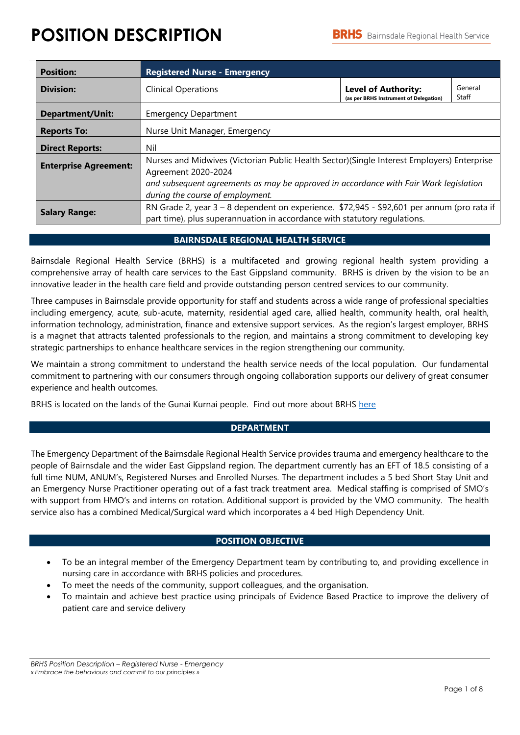# **POSITION DESCRIPTION**

| <b>Position:</b>             | <b>Registered Nurse - Emergency</b>                                                                                                                                     |                                                                      |                  |  |  |
|------------------------------|-------------------------------------------------------------------------------------------------------------------------------------------------------------------------|----------------------------------------------------------------------|------------------|--|--|
| <b>Division:</b>             | <b>Clinical Operations</b>                                                                                                                                              | <b>Level of Authority:</b><br>(as per BRHS Instrument of Delegation) | General<br>Staff |  |  |
| <b>Department/Unit:</b>      | <b>Emergency Department</b>                                                                                                                                             |                                                                      |                  |  |  |
| <b>Reports To:</b>           | Nurse Unit Manager, Emergency                                                                                                                                           |                                                                      |                  |  |  |
| <b>Direct Reports:</b>       | Nil                                                                                                                                                                     |                                                                      |                  |  |  |
| <b>Enterprise Agreement:</b> | Nurses and Midwives (Victorian Public Health Sector) (Single Interest Employers) Enterprise<br>Agreement 2020-2024                                                      |                                                                      |                  |  |  |
|                              | and subsequent agreements as may be approved in accordance with Fair Work legislation<br>during the course of employment.                                               |                                                                      |                  |  |  |
| <b>Salary Range:</b>         | RN Grade 2, year 3 - 8 dependent on experience. \$72,945 - \$92,601 per annum (pro rata if<br>part time), plus superannuation in accordance with statutory regulations. |                                                                      |                  |  |  |

# **BAIRNSDALE REGIONAL HEALTH SERVICE**

Bairnsdale Regional Health Service (BRHS) is a multifaceted and growing regional health system providing a comprehensive array of health care services to the East Gippsland community. BRHS is driven by the vision to be an innovative leader in the health care field and provide outstanding person centred services to our community.

Three campuses in Bairnsdale provide opportunity for staff and students across a wide range of professional specialties including emergency, acute, sub-acute, maternity, residential aged care, allied health, community health, oral health, information technology, administration, finance and extensive support services. As the region's largest employer, BRHS is a magnet that attracts talented professionals to the region, and maintains a strong commitment to developing key strategic partnerships to enhance healthcare services in the region strengthening our community.

We maintain a strong commitment to understand the health service needs of the local population. Our fundamental commitment to partnering with our consumers through ongoing collaboration supports our delivery of great consumer experience and health outcomes.

BRHS is located on the lands of the Gunai Kurnai people. Find out more about BRHS [here](https://brhs.com.au/)

# **DEPARTMENT**

The Emergency Department of the Bairnsdale Regional Health Service provides trauma and emergency healthcare to the people of Bairnsdale and the wider East Gippsland region. The department currently has an EFT of 18.5 consisting of a full time NUM, ANUM's, Registered Nurses and Enrolled Nurses. The department includes a 5 bed Short Stay Unit and an Emergency Nurse Practitioner operating out of a fast track treatment area. Medical staffing is comprised of SMO's with support from HMO's and interns on rotation. Additional support is provided by the VMO community. The health service also has a combined Medical/Surgical ward which incorporates a 4 bed High Dependency Unit.

# **POSITION OBJECTIVE**

- To be an integral member of the Emergency Department team by contributing to, and providing excellence in nursing care in accordance with BRHS policies and procedures.
- To meet the needs of the community, support colleagues, and the organisation.
- To maintain and achieve best practice using principals of Evidence Based Practice to improve the delivery of patient care and service delivery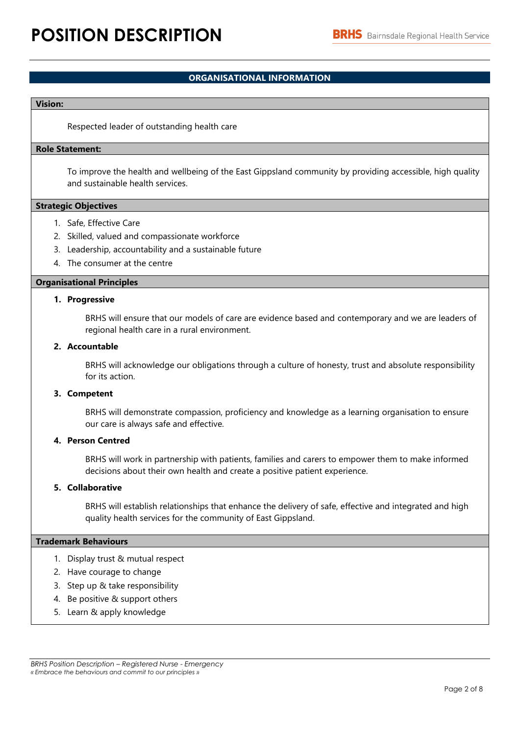# **ORGANISATIONAL INFORMATION**

#### **Vision:**

Respected leader of outstanding health care

#### **Role Statement:**

To improve the health and wellbeing of the East Gippsland community by providing accessible, high quality and sustainable health services.

#### **Strategic Objectives**

- 1. Safe, Effective Care
- 2. Skilled, valued and compassionate workforce
- 3. Leadership, accountability and a sustainable future
- 4. The consumer at the centre

## **Organisational Principles**

#### **1. Progressive**

BRHS will ensure that our models of care are evidence based and contemporary and we are leaders of regional health care in a rural environment.

## **2. Accountable**

BRHS will acknowledge our obligations through a culture of honesty, trust and absolute responsibility for its action.

#### **3. Competent**

BRHS will demonstrate compassion, proficiency and knowledge as a learning organisation to ensure our care is always safe and effective.

#### **4. Person Centred**

BRHS will work in partnership with patients, families and carers to empower them to make informed decisions about their own health and create a positive patient experience.

#### **5. Collaborative**

BRHS will establish relationships that enhance the delivery of safe, effective and integrated and high quality health services for the community of East Gippsland.

#### **Trademark Behaviours**

- 1. Display trust & mutual respect
- 2. Have courage to change
- 3. Step up & take responsibility
- 4. Be positive & support others
- 5. Learn & apply knowledge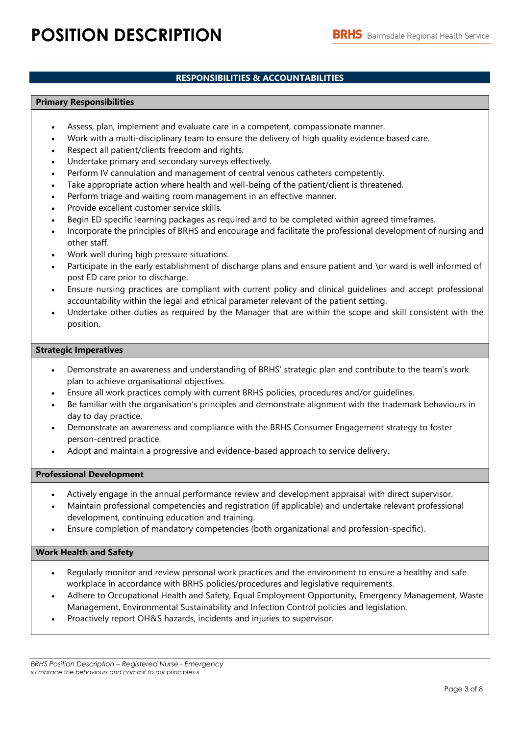# **RESPONSIBILITIES & ACCOUNTABILITIES**

### **Primary Responsibilities**

- Assess, plan, implement and evaluate care in a competent, compassionate manner.
- Work with a multi-disciplinary team to ensure the delivery of high quality evidence based care.
- Respect all patient/clients freedom and rights.
- Undertake primary and secondary surveys effectively.
- Perform IV cannulation and management of central venous catheters competently.
- Take appropriate action where health and well-being of the patient/client is threatened.
- Perform triage and waiting room management in an effective manner.
- Provide excellent customer service skills.
- Begin ED specific learning packages as required and to be completed within agreed timeframes.
- Incorporate the principles of BRHS and encourage and facilitate the professional development of nursing and other staff.
- Work well during high pressure situations.
- Participate in the early establishment of discharge plans and ensure patient and \or ward is well informed of post ED care prior to discharge.
- Ensure nursing practices are compliant with current policy and clinical guidelines and accept professional accountability within the legal and ethical parameter relevant of the patient setting.
- Undertake other duties as required by the Manager that are within the scope and skill consistent with the position.

### **Strategic Imperatives**

- Demonstrate an awareness and understanding of BRHS' strategic plan and contribute to the team's work plan to achieve organisational objectives.
- Ensure all work practices comply with current BRHS policies, procedures and/or guidelines.
- Be familiar with the organisation's principles and demonstrate alignment with the trademark behaviours in day to day practice.
- Demonstrate an awareness and compliance with the BRHS Consumer Engagement strategy to foster person-centred practice.
- Adopt and maintain a progressive and evidence-based approach to service delivery.

#### **Professional Development**

- Actively engage in the annual performance review and development appraisal with direct supervisor.
- Maintain professional competencies and registration (if applicable) and undertake relevant professional development, continuing education and training.
- Ensure completion of mandatory competencies (both organizational and profession-specific).

# **Work Health and Safety**

- Regularly monitor and review personal work practices and the environment to ensure a healthy and safe workplace in accordance with BRHS policies/procedures and legislative requirements.
- Adhere to Occupational Health and Safety, Equal Employment Opportunity, Emergency Management, Waste Management, Environmental Sustainability and Infection Control policies and legislation.
- Proactively report OH&S hazards, incidents and injuries to supervisor.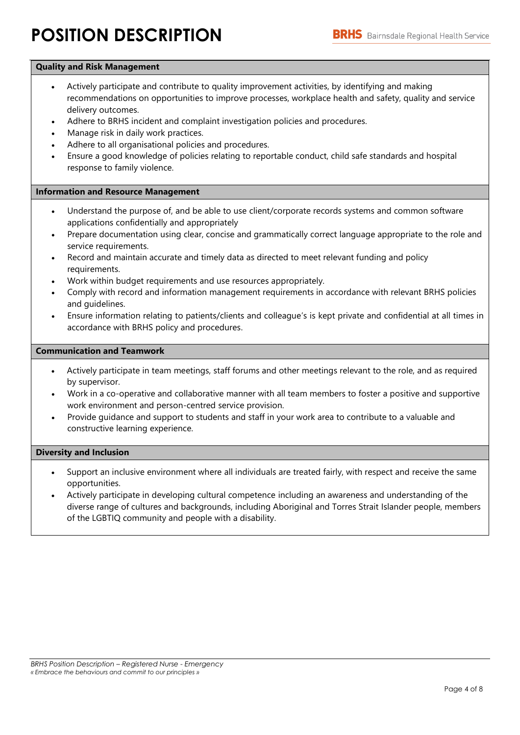# **POSITION DESCRIPTION**

## **Quality and Risk Management**

- Actively participate and contribute to quality improvement activities, by identifying and making recommendations on opportunities to improve processes, workplace health and safety, quality and service delivery outcomes.
- Adhere to BRHS incident and complaint investigation policies and procedures.
- Manage risk in daily work practices.
- Adhere to all organisational policies and procedures.
- Ensure a good knowledge of policies relating to reportable conduct, child safe standards and hospital response to family violence.

### **Information and Resource Management**

- Understand the purpose of, and be able to use client/corporate records systems and common software applications confidentially and appropriately
- Prepare documentation using clear, concise and grammatically correct language appropriate to the role and service requirements.
- Record and maintain accurate and timely data as directed to meet relevant funding and policy requirements.
- Work within budget requirements and use resources appropriately.
- Comply with record and information management requirements in accordance with relevant BRHS policies and guidelines.
- Ensure information relating to patients/clients and colleague's is kept private and confidential at all times in accordance with BRHS policy and procedures.

### **Communication and Teamwork**

- Actively participate in team meetings, staff forums and other meetings relevant to the role, and as required by supervisor.
- Work in a co-operative and collaborative manner with all team members to foster a positive and supportive work environment and person-centred service provision.
- Provide guidance and support to students and staff in your work area to contribute to a valuable and constructive learning experience.

# **Diversity and Inclusion**

- Support an inclusive environment where all individuals are treated fairly, with respect and receive the same opportunities.
- Actively participate in developing cultural competence including an awareness and understanding of the diverse range of cultures and backgrounds, including Aboriginal and Torres Strait Islander people, members of the LGBTIQ community and people with a disability.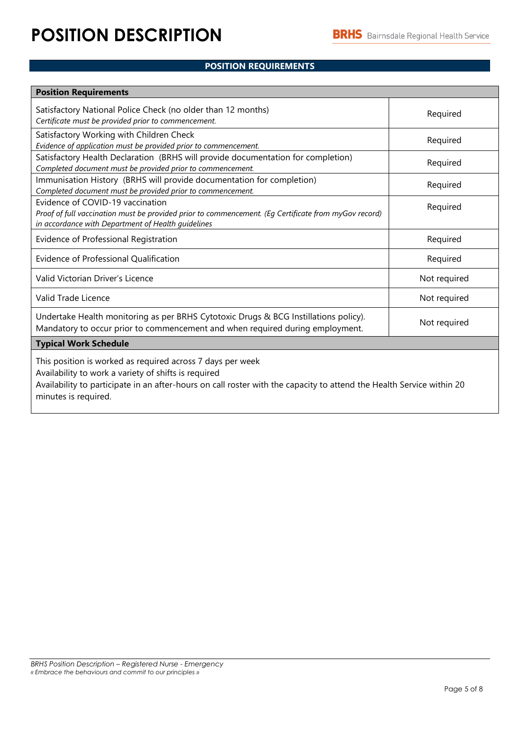# **POSITION REQUIREMENTS**

| <b>Position Requirements</b>                                                                                                                                                                                                                |              |  |  |
|---------------------------------------------------------------------------------------------------------------------------------------------------------------------------------------------------------------------------------------------|--------------|--|--|
| Satisfactory National Police Check (no older than 12 months)<br>Certificate must be provided prior to commencement.                                                                                                                         | Required     |  |  |
| Satisfactory Working with Children Check<br>Evidence of application must be provided prior to commencement.                                                                                                                                 | Required     |  |  |
| Satisfactory Health Declaration (BRHS will provide documentation for completion)<br>Completed document must be provided prior to commencement.                                                                                              | Required     |  |  |
| Immunisation History (BRHS will provide documentation for completion)<br>Completed document must be provided prior to commencement.                                                                                                         | Required     |  |  |
| Evidence of COVID-19 vaccination<br>Proof of full vaccination must be provided prior to commencement. (Eq Certificate from myGov record)<br>in accordance with Department of Health guidelines                                              | Required     |  |  |
| Evidence of Professional Registration                                                                                                                                                                                                       | Required     |  |  |
| Evidence of Professional Qualification                                                                                                                                                                                                      | Required     |  |  |
| Valid Victorian Driver's Licence                                                                                                                                                                                                            | Not required |  |  |
| Valid Trade Licence                                                                                                                                                                                                                         | Not required |  |  |
| Undertake Health monitoring as per BRHS Cytotoxic Drugs & BCG Instillations policy).<br>Mandatory to occur prior to commencement and when required during employment.                                                                       | Not required |  |  |
| <b>Typical Work Schedule</b>                                                                                                                                                                                                                |              |  |  |
| This position is worked as required across 7 days per week<br>Availability to work a variety of shifts is required<br>Availability to participate in an after bours on sall rester with the sapecity to attend the Health Service within 20 |              |  |  |

Availability to participate in an after-hours on call roster with the capacity to attend the Health Service within 20 minutes is required.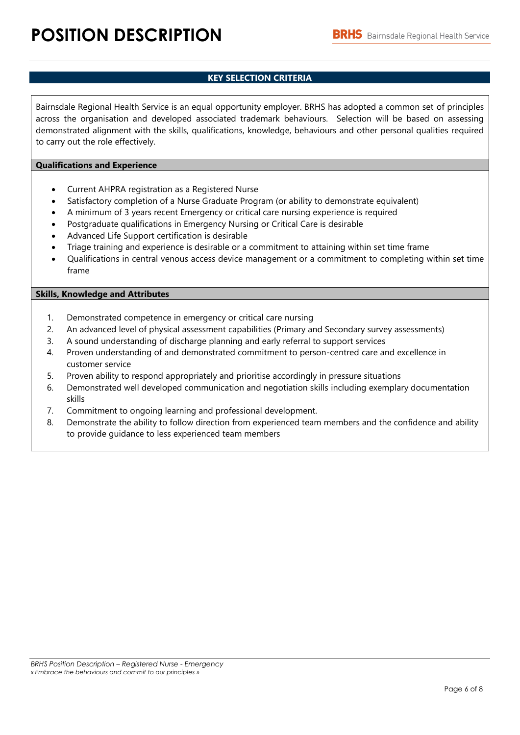# **KEY SELECTION CRITERIA**

Bairnsdale Regional Health Service is an equal opportunity employer. BRHS has adopted a common set of principles across the organisation and developed associated trademark behaviours. Selection will be based on assessing demonstrated alignment with the skills, qualifications, knowledge, behaviours and other personal qualities required to carry out the role effectively.

## **Qualifications and Experience**

- Current AHPRA registration as a Registered Nurse
- Satisfactory completion of a Nurse Graduate Program (or ability to demonstrate equivalent)
- A minimum of 3 years recent Emergency or critical care nursing experience is required
- Postgraduate qualifications in Emergency Nursing or Critical Care is desirable
- Advanced Life Support certification is desirable
- Triage training and experience is desirable or a commitment to attaining within set time frame
- Qualifications in central venous access device management or a commitment to completing within set time frame

# **Skills, Knowledge and Attributes**

- 1. Demonstrated competence in emergency or critical care nursing
- 2. An advanced level of physical assessment capabilities (Primary and Secondary survey assessments)
- 3. A sound understanding of discharge planning and early referral to support services
- 4. Proven understanding of and demonstrated commitment to person-centred care and excellence in customer service
- 5. Proven ability to respond appropriately and prioritise accordingly in pressure situations
- 6. Demonstrated well developed communication and negotiation skills including exemplary documentation skills
- 7. Commitment to ongoing learning and professional development.
- 8. Demonstrate the ability to follow direction from experienced team members and the confidence and ability to provide guidance to less experienced team members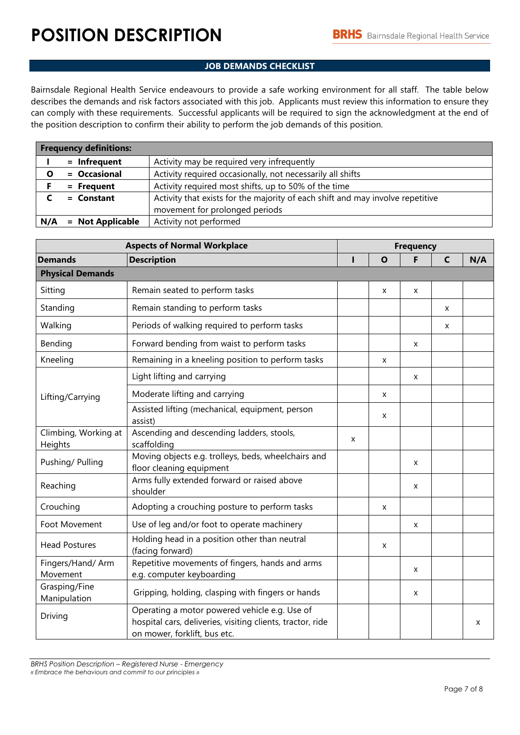# **JOB DEMANDS CHECKLIST**

Bairnsdale Regional Health Service endeavours to provide a safe working environment for all staff. The table below describes the demands and risk factors associated with this job. Applicants must review this information to ensure they can comply with these requirements. Successful applicants will be required to sign the acknowledgment at the end of the position description to confirm their ability to perform the job demands of this position.

|     | <b>Frequency definitions:</b> |                                                                                |
|-----|-------------------------------|--------------------------------------------------------------------------------|
|     | $=$ Infrequent                | Activity may be required very infrequently                                     |
| O   | = Occasional                  | Activity required occasionally, not necessarily all shifts                     |
|     | $=$ Frequent                  | Activity required most shifts, up to 50% of the time                           |
|     | $=$ Constant                  | Activity that exists for the majority of each shift and may involve repetitive |
|     |                               | movement for prolonged periods                                                 |
| N/A | $=$ Not Applicable            | Activity not performed                                                         |

| <b>Aspects of Normal Workplace</b> |                                                                                                                                             |   | <b>Frequency</b> |   |   |     |
|------------------------------------|---------------------------------------------------------------------------------------------------------------------------------------------|---|------------------|---|---|-----|
| <b>Demands</b>                     | <b>Description</b>                                                                                                                          | ı | $\mathbf{o}$     | F | C | N/A |
| <b>Physical Demands</b>            |                                                                                                                                             |   |                  |   |   |     |
| Sitting                            | Remain seated to perform tasks                                                                                                              |   | X                | x |   |     |
| Standing                           | Remain standing to perform tasks                                                                                                            |   |                  |   | X |     |
| Walking                            | Periods of walking required to perform tasks                                                                                                |   |                  |   | X |     |
| Bending                            | Forward bending from waist to perform tasks                                                                                                 |   |                  | X |   |     |
| Kneeling                           | Remaining in a kneeling position to perform tasks                                                                                           |   | X                |   |   |     |
|                                    | Light lifting and carrying                                                                                                                  |   |                  | X |   |     |
| Lifting/Carrying                   | Moderate lifting and carrying                                                                                                               |   | X                |   |   |     |
|                                    | Assisted lifting (mechanical, equipment, person<br>assist)                                                                                  |   | X                |   |   |     |
| Climbing, Working at<br>Heights    | Ascending and descending ladders, stools,<br>scaffolding                                                                                    | X |                  |   |   |     |
| Pushing/ Pulling                   | Moving objects e.g. trolleys, beds, wheelchairs and<br>floor cleaning equipment                                                             |   |                  | X |   |     |
| Reaching                           | Arms fully extended forward or raised above<br>shoulder                                                                                     |   |                  | x |   |     |
| Crouching                          | Adopting a crouching posture to perform tasks                                                                                               |   | X                |   |   |     |
| Foot Movement                      | Use of leg and/or foot to operate machinery                                                                                                 |   |                  | X |   |     |
| <b>Head Postures</b>               | Holding head in a position other than neutral<br>(facing forward)                                                                           |   | X                |   |   |     |
| Fingers/Hand/ Arm<br>Movement      | Repetitive movements of fingers, hands and arms<br>e.g. computer keyboarding                                                                |   |                  | X |   |     |
| Grasping/Fine<br>Manipulation      | Gripping, holding, clasping with fingers or hands                                                                                           |   |                  | x |   |     |
| Driving                            | Operating a motor powered vehicle e.g. Use of<br>hospital cars, deliveries, visiting clients, tractor, ride<br>on mower, forklift, bus etc. |   |                  |   |   | X   |

*BRHS Position Description – Registered Nurse - Emergency « Embrace the behaviours and commit to our principles »*